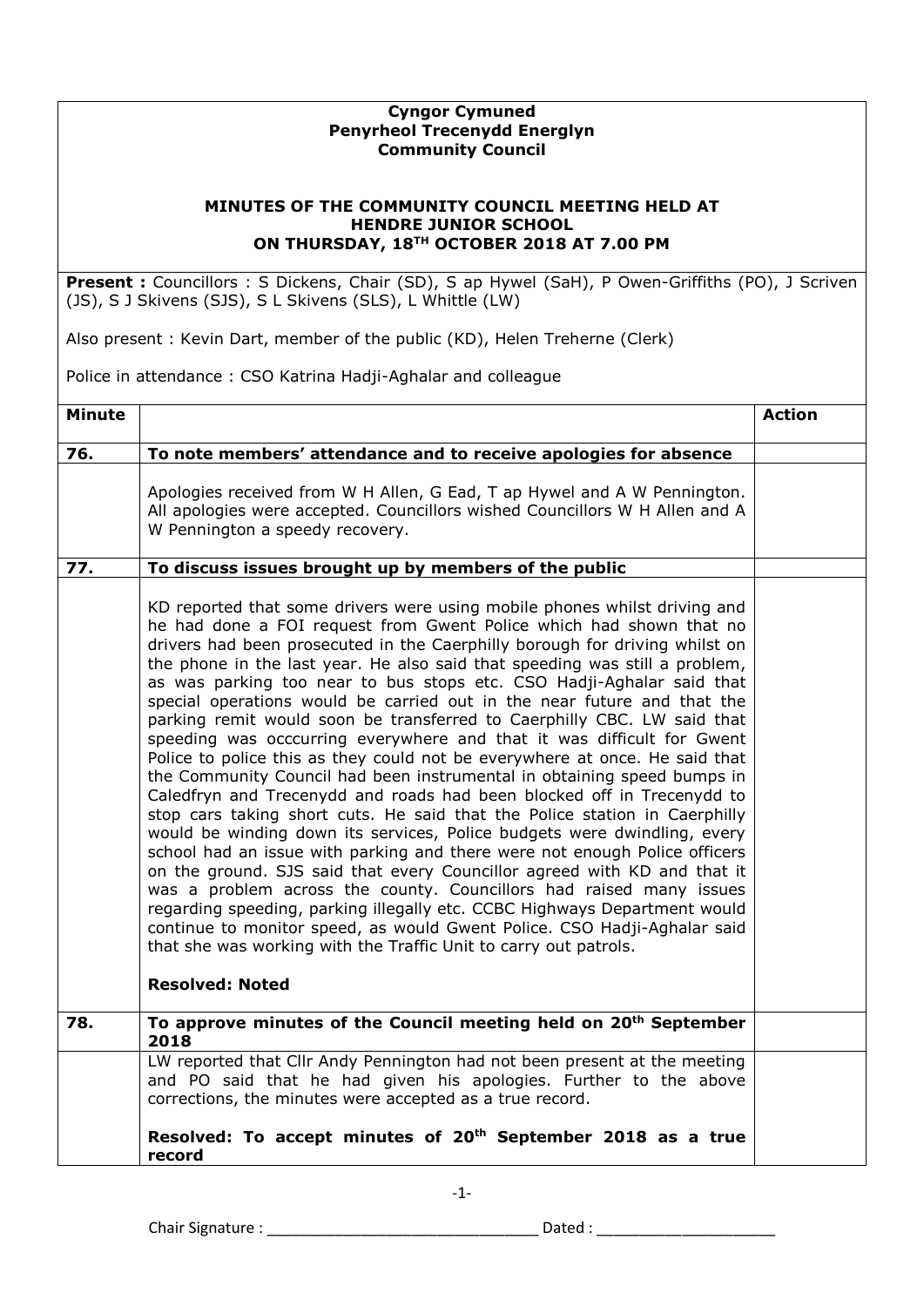## **Cyngor Cymuned Penyrheol Trecenydd Energlyn Community Council**

## **MINUTES OF THE COMMUNITY COUNCIL MEETING HELD AT HENDRE JUNIOR SCHOOL ON THURSDAY, 18TH OCTOBER 2018 AT 7.00 PM**

**Present :** Councillors : S Dickens, Chair (SD), S ap Hywel (SaH), P Owen-Griffiths (PO), J Scriven (JS), S J Skivens (SJS), S L Skivens (SLS), L Whittle (LW)

Also present : Kevin Dart, member of the public (KD), Helen Treherne (Clerk)

Police in attendance : CSO Katrina Hadji-Aghalar and colleague

| <b>Minute</b> |                                                                                                                                                                                                                                                                                                                                                                                                                                                                                                                                                                                                                                                                                                                                                                                                                                                                                                                                                                                                                                                                                                                                                                                                                                                                                                                                                                                                                                                                                                               | <b>Action</b> |
|---------------|---------------------------------------------------------------------------------------------------------------------------------------------------------------------------------------------------------------------------------------------------------------------------------------------------------------------------------------------------------------------------------------------------------------------------------------------------------------------------------------------------------------------------------------------------------------------------------------------------------------------------------------------------------------------------------------------------------------------------------------------------------------------------------------------------------------------------------------------------------------------------------------------------------------------------------------------------------------------------------------------------------------------------------------------------------------------------------------------------------------------------------------------------------------------------------------------------------------------------------------------------------------------------------------------------------------------------------------------------------------------------------------------------------------------------------------------------------------------------------------------------------------|---------------|
| 76.           | To note members' attendance and to receive apologies for absence                                                                                                                                                                                                                                                                                                                                                                                                                                                                                                                                                                                                                                                                                                                                                                                                                                                                                                                                                                                                                                                                                                                                                                                                                                                                                                                                                                                                                                              |               |
|               | Apologies received from W H Allen, G Ead, T ap Hywel and A W Pennington.<br>All apologies were accepted. Councillors wished Councillors W H Allen and A<br>W Pennington a speedy recovery.                                                                                                                                                                                                                                                                                                                                                                                                                                                                                                                                                                                                                                                                                                                                                                                                                                                                                                                                                                                                                                                                                                                                                                                                                                                                                                                    |               |
| 77.           | To discuss issues brought up by members of the public                                                                                                                                                                                                                                                                                                                                                                                                                                                                                                                                                                                                                                                                                                                                                                                                                                                                                                                                                                                                                                                                                                                                                                                                                                                                                                                                                                                                                                                         |               |
|               | KD reported that some drivers were using mobile phones whilst driving and<br>he had done a FOI request from Gwent Police which had shown that no<br>drivers had been prosecuted in the Caerphilly borough for driving whilst on<br>the phone in the last year. He also said that speeding was still a problem,<br>as was parking too near to bus stops etc. CSO Hadji-Aghalar said that<br>special operations would be carried out in the near future and that the<br>parking remit would soon be transferred to Caerphilly CBC. LW said that<br>speeding was occcurring everywhere and that it was difficult for Gwent<br>Police to police this as they could not be everywhere at once. He said that<br>the Community Council had been instrumental in obtaining speed bumps in<br>Caledfryn and Trecenydd and roads had been blocked off in Trecenydd to<br>stop cars taking short cuts. He said that the Police station in Caerphilly<br>would be winding down its services, Police budgets were dwindling, every<br>school had an issue with parking and there were not enough Police officers<br>on the ground. SJS said that every Councillor agreed with KD and that it<br>was a problem across the county. Councillors had raised many issues<br>regarding speeding, parking illegally etc. CCBC Highways Department would<br>continue to monitor speed, as would Gwent Police. CSO Hadji-Aghalar said<br>that she was working with the Traffic Unit to carry out patrols.<br><b>Resolved: Noted</b> |               |
|               |                                                                                                                                                                                                                                                                                                                                                                                                                                                                                                                                                                                                                                                                                                                                                                                                                                                                                                                                                                                                                                                                                                                                                                                                                                                                                                                                                                                                                                                                                                               |               |
| 78.           | To approve minutes of the Council meeting held on 20 <sup>th</sup> September<br>2018                                                                                                                                                                                                                                                                                                                                                                                                                                                                                                                                                                                                                                                                                                                                                                                                                                                                                                                                                                                                                                                                                                                                                                                                                                                                                                                                                                                                                          |               |
|               | LW reported that Cllr Andy Pennington had not been present at the meeting<br>and PO said that he had given his apologies. Further to the above<br>corrections, the minutes were accepted as a true record.                                                                                                                                                                                                                                                                                                                                                                                                                                                                                                                                                                                                                                                                                                                                                                                                                                                                                                                                                                                                                                                                                                                                                                                                                                                                                                    |               |
|               | Resolved: To accept minutes of 20 <sup>th</sup> September 2018 as a true<br>record                                                                                                                                                                                                                                                                                                                                                                                                                                                                                                                                                                                                                                                                                                                                                                                                                                                                                                                                                                                                                                                                                                                                                                                                                                                                                                                                                                                                                            |               |

-1-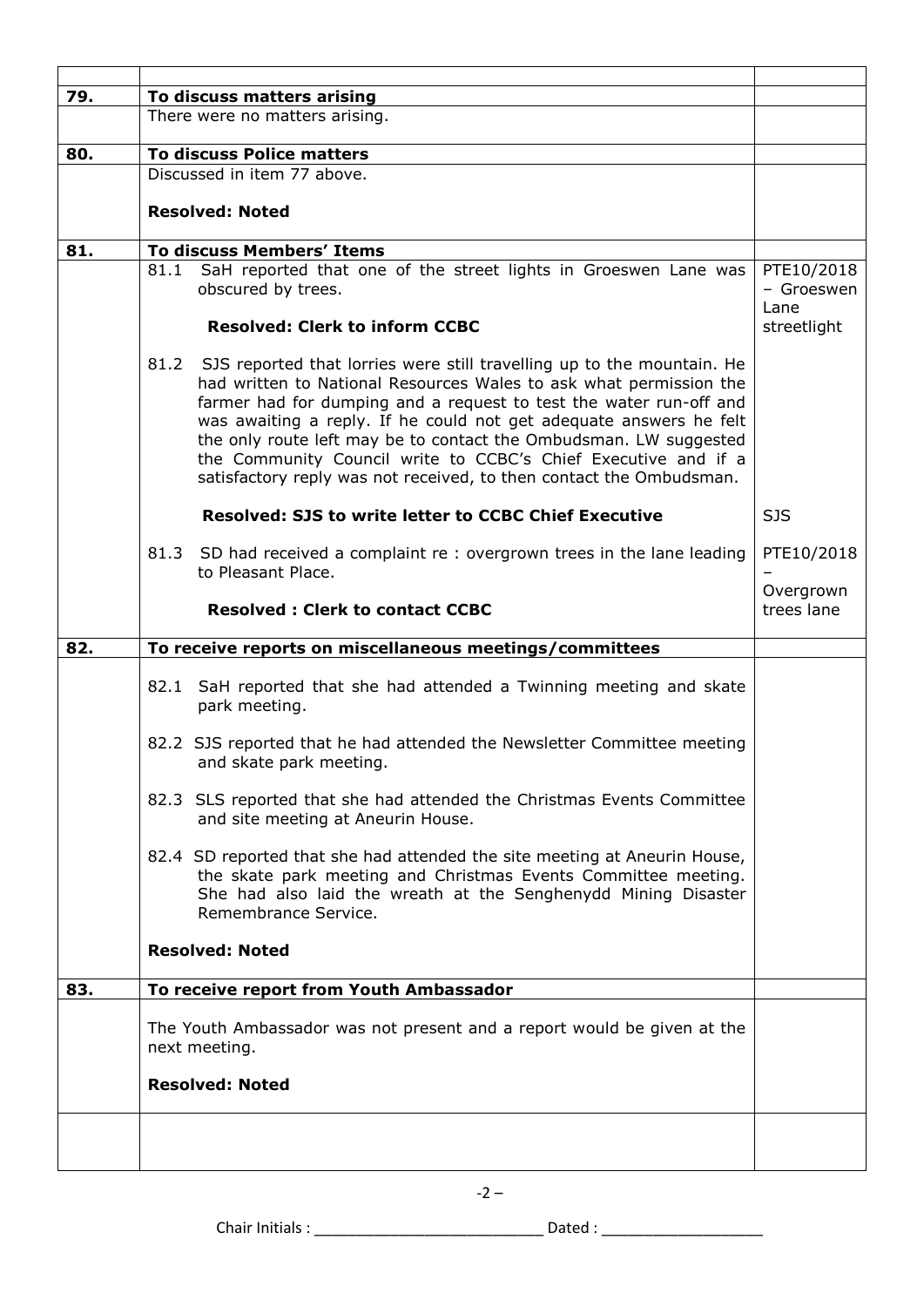| 79. | To discuss matters arising<br>There were no matters arising.                                                                                                                                                                                                                                                                                                                                                                                                                                                   |                                  |
|-----|----------------------------------------------------------------------------------------------------------------------------------------------------------------------------------------------------------------------------------------------------------------------------------------------------------------------------------------------------------------------------------------------------------------------------------------------------------------------------------------------------------------|----------------------------------|
|     |                                                                                                                                                                                                                                                                                                                                                                                                                                                                                                                |                                  |
| 80. | <b>To discuss Police matters</b>                                                                                                                                                                                                                                                                                                                                                                                                                                                                               |                                  |
|     | Discussed in item 77 above.                                                                                                                                                                                                                                                                                                                                                                                                                                                                                    |                                  |
|     | <b>Resolved: Noted</b>                                                                                                                                                                                                                                                                                                                                                                                                                                                                                         |                                  |
| 81. | <b>To discuss Members' Items</b>                                                                                                                                                                                                                                                                                                                                                                                                                                                                               |                                  |
|     | 81.1 SaH reported that one of the street lights in Groeswen Lane was<br>obscured by trees.                                                                                                                                                                                                                                                                                                                                                                                                                     | PTE10/2018<br>- Groeswen<br>Lane |
|     | <b>Resolved: Clerk to inform CCBC</b>                                                                                                                                                                                                                                                                                                                                                                                                                                                                          | streetlight                      |
|     | 81.2<br>SJS reported that lorries were still travelling up to the mountain. He<br>had written to National Resources Wales to ask what permission the<br>farmer had for dumping and a request to test the water run-off and<br>was awaiting a reply. If he could not get adequate answers he felt<br>the only route left may be to contact the Ombudsman. LW suggested<br>the Community Council write to CCBC's Chief Executive and if a<br>satisfactory reply was not received, to then contact the Ombudsman. |                                  |
|     | <b>Resolved: SJS to write letter to CCBC Chief Executive</b>                                                                                                                                                                                                                                                                                                                                                                                                                                                   | <b>SJS</b>                       |
|     | 81.3 SD had received a complaint re : overgrown trees in the lane leading<br>to Pleasant Place.                                                                                                                                                                                                                                                                                                                                                                                                                | PTE10/2018                       |
|     | <b>Resolved: Clerk to contact CCBC</b>                                                                                                                                                                                                                                                                                                                                                                                                                                                                         | Overgrown<br>trees lane          |
| 82. | To receive reports on miscellaneous meetings/committees                                                                                                                                                                                                                                                                                                                                                                                                                                                        |                                  |
|     | 82.1 SaH reported that she had attended a Twinning meeting and skate<br>park meeting.                                                                                                                                                                                                                                                                                                                                                                                                                          |                                  |
|     | 82.2 SJS reported that he had attended the Newsletter Committee meeting<br>and skate park meeting.                                                                                                                                                                                                                                                                                                                                                                                                             |                                  |
|     | 82.3 SLS reported that she had attended the Christmas Events Committee<br>and site meeting at Aneurin House.                                                                                                                                                                                                                                                                                                                                                                                                   |                                  |
|     | 82.4 SD reported that she had attended the site meeting at Aneurin House,<br>the skate park meeting and Christmas Events Committee meeting.<br>She had also laid the wreath at the Senghenydd Mining Disaster<br>Remembrance Service.                                                                                                                                                                                                                                                                          |                                  |
|     | <b>Resolved: Noted</b>                                                                                                                                                                                                                                                                                                                                                                                                                                                                                         |                                  |
| 83. | To receive report from Youth Ambassador                                                                                                                                                                                                                                                                                                                                                                                                                                                                        |                                  |
|     | The Youth Ambassador was not present and a report would be given at the<br>next meeting.                                                                                                                                                                                                                                                                                                                                                                                                                       |                                  |
|     | <b>Resolved: Noted</b>                                                                                                                                                                                                                                                                                                                                                                                                                                                                                         |                                  |
|     |                                                                                                                                                                                                                                                                                                                                                                                                                                                                                                                |                                  |

Chair Initials : \_\_\_\_\_\_\_\_\_\_\_\_\_\_\_\_\_\_\_\_\_\_\_\_\_\_\_ Dated : \_\_\_\_\_\_\_\_\_\_\_\_\_\_\_\_\_\_\_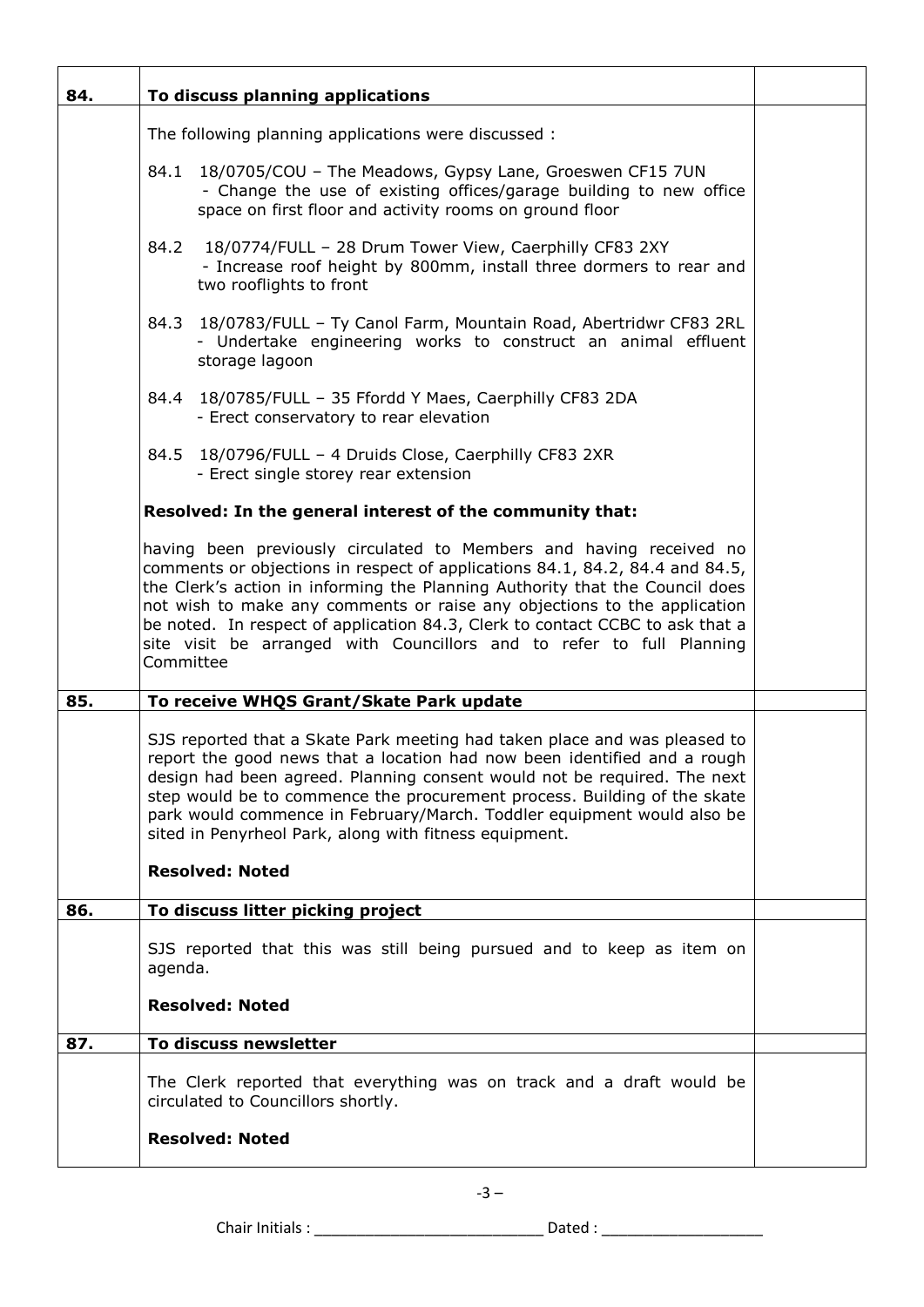| 84. | To discuss planning applications                                                                                                                                                                                                                                                                                                                                                                                                                                                       |  |
|-----|----------------------------------------------------------------------------------------------------------------------------------------------------------------------------------------------------------------------------------------------------------------------------------------------------------------------------------------------------------------------------------------------------------------------------------------------------------------------------------------|--|
|     | The following planning applications were discussed :                                                                                                                                                                                                                                                                                                                                                                                                                                   |  |
|     | 84.1 18/0705/COU - The Meadows, Gypsy Lane, Groeswen CF15 7UN<br>- Change the use of existing offices/garage building to new office<br>space on first floor and activity rooms on ground floor                                                                                                                                                                                                                                                                                         |  |
|     | 18/0774/FULL - 28 Drum Tower View, Caerphilly CF83 2XY<br>84.2<br>- Increase roof height by 800mm, install three dormers to rear and<br>two rooflights to front                                                                                                                                                                                                                                                                                                                        |  |
|     | 84.3 18/0783/FULL - Ty Canol Farm, Mountain Road, Abertridwr CF83 2RL<br>- Undertake engineering works to construct an animal effluent<br>storage lagoon                                                                                                                                                                                                                                                                                                                               |  |
|     | 84.4 18/0785/FULL - 35 Ffordd Y Maes, Caerphilly CF83 2DA<br>- Erect conservatory to rear elevation                                                                                                                                                                                                                                                                                                                                                                                    |  |
|     | 84.5 18/0796/FULL - 4 Druids Close, Caerphilly CF83 2XR<br>- Erect single storey rear extension                                                                                                                                                                                                                                                                                                                                                                                        |  |
|     | Resolved: In the general interest of the community that:                                                                                                                                                                                                                                                                                                                                                                                                                               |  |
|     | having been previously circulated to Members and having received no<br>comments or objections in respect of applications 84.1, 84.2, 84.4 and 84.5,<br>the Clerk's action in informing the Planning Authority that the Council does<br>not wish to make any comments or raise any objections to the application<br>be noted. In respect of application 84.3, Clerk to contact CCBC to ask that a<br>site visit be arranged with Councillors and to refer to full Planning<br>Committee |  |
| 85. | To receive WHQS Grant/Skate Park update                                                                                                                                                                                                                                                                                                                                                                                                                                                |  |
|     | SJS reported that a Skate Park meeting had taken place and was pleased to<br>report the good news that a location had now been identified and a rough<br>design had been agreed. Planning consent would not be required. The next<br>step would be to commence the procurement process. Building of the skate<br>park would commence in February/March. Toddler equipment would also be<br>sited in Penyrheol Park, along with fitness equipment.<br><b>Resolved: Noted</b>            |  |
|     |                                                                                                                                                                                                                                                                                                                                                                                                                                                                                        |  |
| 86. | To discuss litter picking project                                                                                                                                                                                                                                                                                                                                                                                                                                                      |  |
|     | SJS reported that this was still being pursued and to keep as item on<br>agenda.                                                                                                                                                                                                                                                                                                                                                                                                       |  |
|     | <b>Resolved: Noted</b>                                                                                                                                                                                                                                                                                                                                                                                                                                                                 |  |
| 87. | To discuss newsletter                                                                                                                                                                                                                                                                                                                                                                                                                                                                  |  |
|     | The Clerk reported that everything was on track and a draft would be<br>circulated to Councillors shortly.                                                                                                                                                                                                                                                                                                                                                                             |  |
|     | <b>Resolved: Noted</b>                                                                                                                                                                                                                                                                                                                                                                                                                                                                 |  |

 $-3 -$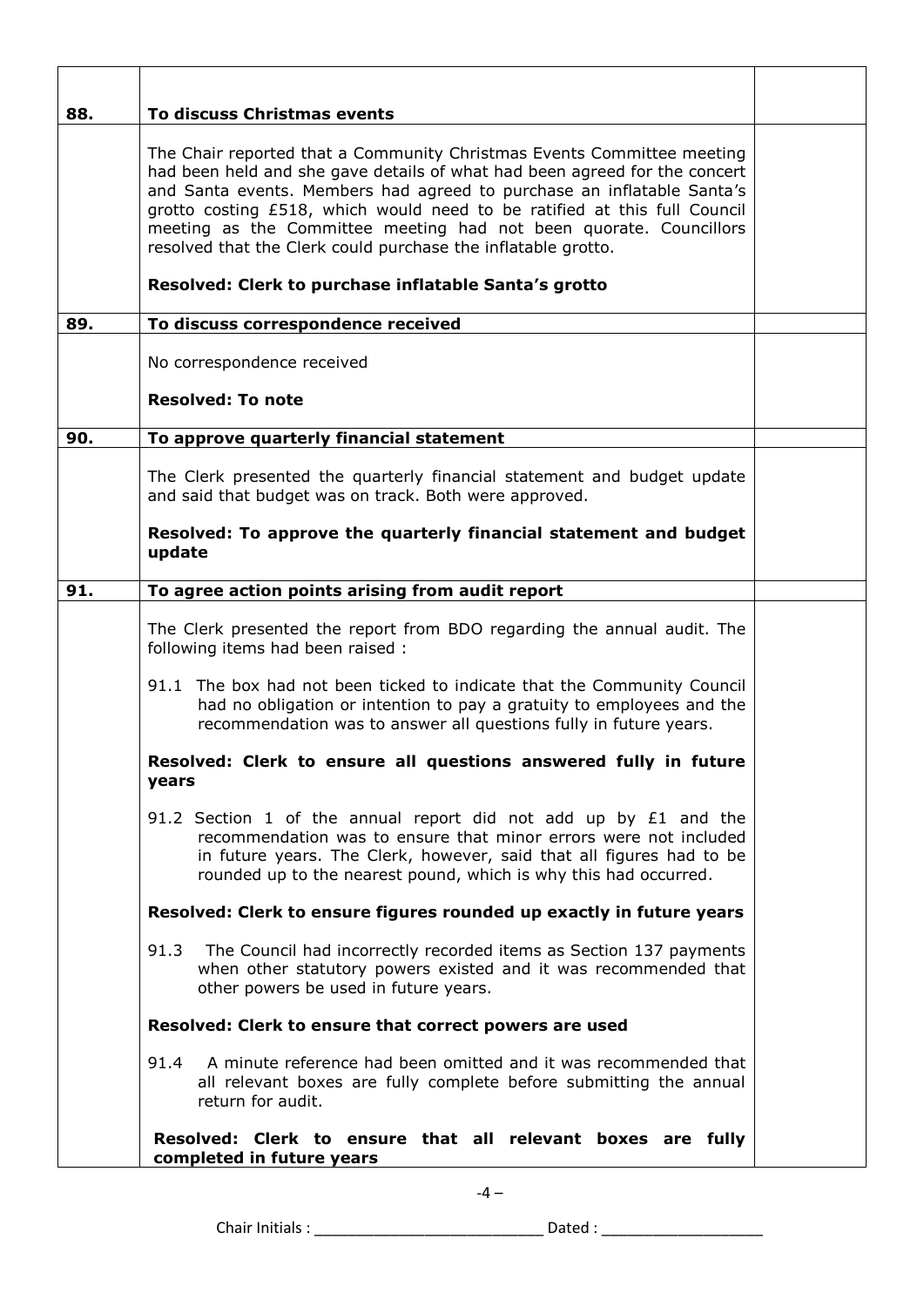| 88. | To discuss Christmas events                                                                                                                                                                                                                                                                                                                                                                                                                                                                                 |  |
|-----|-------------------------------------------------------------------------------------------------------------------------------------------------------------------------------------------------------------------------------------------------------------------------------------------------------------------------------------------------------------------------------------------------------------------------------------------------------------------------------------------------------------|--|
|     | The Chair reported that a Community Christmas Events Committee meeting<br>had been held and she gave details of what had been agreed for the concert<br>and Santa events. Members had agreed to purchase an inflatable Santa's<br>grotto costing £518, which would need to be ratified at this full Council<br>meeting as the Committee meeting had not been quorate. Councillors<br>resolved that the Clerk could purchase the inflatable grotto.<br>Resolved: Clerk to purchase inflatable Santa's grotto |  |
| 89. | To discuss correspondence received                                                                                                                                                                                                                                                                                                                                                                                                                                                                          |  |
|     | No correspondence received                                                                                                                                                                                                                                                                                                                                                                                                                                                                                  |  |
|     | <b>Resolved: To note</b>                                                                                                                                                                                                                                                                                                                                                                                                                                                                                    |  |
| 90. | To approve quarterly financial statement                                                                                                                                                                                                                                                                                                                                                                                                                                                                    |  |
|     | The Clerk presented the quarterly financial statement and budget update<br>and said that budget was on track. Both were approved.                                                                                                                                                                                                                                                                                                                                                                           |  |
|     | Resolved: To approve the quarterly financial statement and budget<br>update                                                                                                                                                                                                                                                                                                                                                                                                                                 |  |
| 91. | To agree action points arising from audit report                                                                                                                                                                                                                                                                                                                                                                                                                                                            |  |
|     | The Clerk presented the report from BDO regarding the annual audit. The<br>following items had been raised :                                                                                                                                                                                                                                                                                                                                                                                                |  |
|     | 91.1 The box had not been ticked to indicate that the Community Council<br>had no obligation or intention to pay a gratuity to employees and the<br>recommendation was to answer all questions fully in future years.                                                                                                                                                                                                                                                                                       |  |
|     | Resolved: Clerk to ensure all questions answered fully in future<br>years                                                                                                                                                                                                                                                                                                                                                                                                                                   |  |
|     | 91.2 Section 1 of the annual report did not add up by $£1$ and the<br>recommendation was to ensure that minor errors were not included<br>in future years. The Clerk, however, said that all figures had to be<br>rounded up to the nearest pound, which is why this had occurred.                                                                                                                                                                                                                          |  |
|     | Resolved: Clerk to ensure figures rounded up exactly in future years                                                                                                                                                                                                                                                                                                                                                                                                                                        |  |
|     | 91.3<br>The Council had incorrectly recorded items as Section 137 payments<br>when other statutory powers existed and it was recommended that<br>other powers be used in future years.                                                                                                                                                                                                                                                                                                                      |  |
|     | Resolved: Clerk to ensure that correct powers are used                                                                                                                                                                                                                                                                                                                                                                                                                                                      |  |
|     | A minute reference had been omitted and it was recommended that<br>91.4<br>all relevant boxes are fully complete before submitting the annual<br>return for audit.                                                                                                                                                                                                                                                                                                                                          |  |
|     | Resolved: Clerk to ensure that all relevant boxes are fully<br>completed in future years                                                                                                                                                                                                                                                                                                                                                                                                                    |  |

Chair Initials : \_\_\_\_\_\_\_\_\_\_\_\_\_\_\_\_\_\_\_\_\_\_\_\_\_\_\_ Dated : \_\_\_\_\_\_\_\_\_\_\_\_\_\_\_\_\_\_\_